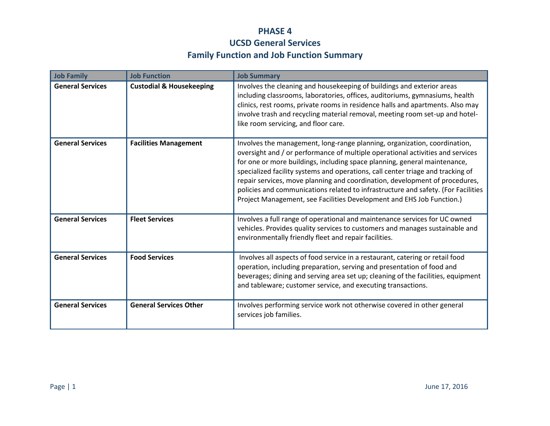## **PHASE 4 UCSD General Services Family Function and Job Function Summary**

| <b>Job Family</b>       | <b>Job Function</b>                 | <b>Job Summary</b>                                                                                                                                                                                                                                                                                                                                                                                                                                                                                                                                                       |
|-------------------------|-------------------------------------|--------------------------------------------------------------------------------------------------------------------------------------------------------------------------------------------------------------------------------------------------------------------------------------------------------------------------------------------------------------------------------------------------------------------------------------------------------------------------------------------------------------------------------------------------------------------------|
| <b>General Services</b> | <b>Custodial &amp; Housekeeping</b> | Involves the cleaning and housekeeping of buildings and exterior areas<br>including classrooms, laboratories, offices, auditoriums, gymnasiums, health<br>clinics, rest rooms, private rooms in residence halls and apartments. Also may<br>involve trash and recycling material removal, meeting room set-up and hotel-<br>like room servicing, and floor care.                                                                                                                                                                                                         |
| <b>General Services</b> | <b>Facilities Management</b>        | Involves the management, long-range planning, organization, coordination,<br>oversight and / or performance of multiple operational activities and services<br>for one or more buildings, including space planning, general maintenance,<br>specialized facility systems and operations, call center triage and tracking of<br>repair services, move planning and coordination, development of procedures,<br>policies and communications related to infrastructure and safety. (For Facilities<br>Project Management, see Facilities Development and EHS Job Function.) |
| <b>General Services</b> | <b>Fleet Services</b>               | Involves a full range of operational and maintenance services for UC owned<br>vehicles. Provides quality services to customers and manages sustainable and<br>environmentally friendly fleet and repair facilities.                                                                                                                                                                                                                                                                                                                                                      |
| <b>General Services</b> | <b>Food Services</b>                | Involves all aspects of food service in a restaurant, catering or retail food<br>operation, including preparation, serving and presentation of food and<br>beverages; dining and serving area set up; cleaning of the facilities, equipment<br>and tableware; customer service, and executing transactions.                                                                                                                                                                                                                                                              |
| <b>General Services</b> | <b>General Services Other</b>       | Involves performing service work not otherwise covered in other general<br>services job families.                                                                                                                                                                                                                                                                                                                                                                                                                                                                        |